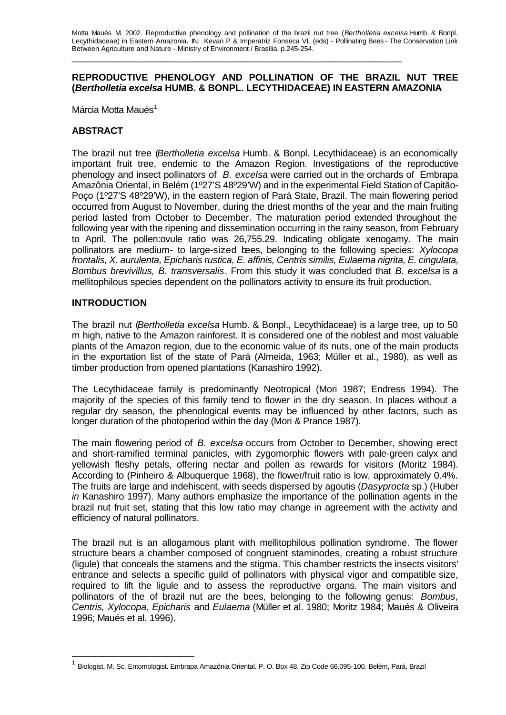\_\_\_\_\_\_\_\_\_\_\_\_\_\_\_\_\_\_\_\_\_\_\_\_\_\_\_\_\_\_\_\_\_\_\_\_\_\_\_\_\_\_\_\_\_\_\_\_\_\_\_\_\_\_\_\_\_\_\_\_\_\_\_\_\_\_\_\_\_\_\_\_\_\_

## **REPRODUCTIVE PHENOLOGY AND POLLINATION OF THE BRAZIL NUT TREE (***Bertholletia excelsa* **HUMB. & BONPL. LECYTHIDACEAE) IN EASTERN AMAZONIA**

Márcia Motta Maués<sup>1</sup>

## **ABSTRACT**

The brazil nut tree (*Bertholletia excelsa* Humb. & Bonpl. Lecythidaceae) is an economically important fruit tree, endemic to the Amazon Region. Investigations of the reproductive phenology and insect pollinators of *B. excelsa* were carried out in the orchards of Embrapa Amazônia Oriental, in Belém (1º27'S 48º29'W) and in the experimental Field Station of Capitão-Poço (1º27'S 48º29'W), in the eastern region of Pará State, Brazil. The main flowering period occurred from August to November, during the driest months of the year and the main fruiting period lasted from October to December. The maturation period extended throughout the following year with the ripening and dissemination occurring in the rainy season, from February to April. The pollen:ovule ratio was 26,755.29. Indicating obligate xenogamy. The main pollinators are medium- to large-sized bees, belonging to the following species: *Xylocopa frontalis, X. aurulenta, Epicharis rustica, E. affinis, Centris similis, Eulaema nigrita, E. cingulata, Bombus brevivillus, B. transversalis*. From this study it was concluded that *B. excelsa* is a mellitophilous species dependent on the pollinators activity to ensure its fruit production.

## **INTRODUCTION**

 $\overline{a}$ 

The brazil nut (*Bertholletia excelsa* Humb. & Bonpl., Lecythidaceae) is a large tree, up to 50 m high, native to the Amazon rainforest. It is considered one of the noblest and most valuable plants of the Amazon region, due to the economic value of its nuts, one of the main products in the exportation list of the state of Pará (Almeida, 1963; Müller et al., 1980), as well as timber production from opened plantations (Kanashiro 1992).

The Lecythidaceae family is predominantly Neotropical (Mori 1987; Endress 1994). The majority of the species of this family tend to flower in the dry season. In places without a regular dry season, the phenological events may be influenced by other factors, such as longer duration of the photoperiod within the day (Mori & Prance 1987).

The main flowering period of *B. excelsa* occurs from October to December, showing erect and short-ramified terminal panicles, with zygomorphic flowers with pale-green calyx and yellowish fleshy petals, offering nectar and pollen as rewards for visitors (Moritz 1984). According to (Pinheiro & Albuquerque 1968), the flower/fruit ratio is low, approximately 0.4%. The fruits are large and indehiscent, with seeds dispersed by agoutis (*Dasyprocta* sp.) (Huber *in* Kanashiro 1997). Many authors emphasize the importance of the pollination agents in the brazil nut fruit set, stating that this low ratio may change in agreement with the activity and efficiency of natural pollinators.

The brazil nut is an allogamous plant with mellitophilous pollination syndrome. The flower structure bears a chamber composed of congruent staminodes, creating a robust structure (ligule) that conceals the stamens and the stigma. This chamber restricts the insects visitors' entrance and selects a specific guild of pollinators with physical vigor and compatible size, required to lift the ligule and to assess the reproductive organs. The main visitors and pollinators of the of brazil nut are the bees, belonging to the following genus: *Bombus, Centris, Xylocopa*, *Epicharis* and *Eulaema* (Müller et al. 1980; Moritz 1984; Maués & Oliveira 1996; Maués et al. 1996).

<sup>1</sup> Biologist. M. Sc. Entomologist. Embrapa Amazônia Oriental. P. O. Box 48. Zip Code 66.095-100. Belém, Pará, Brazil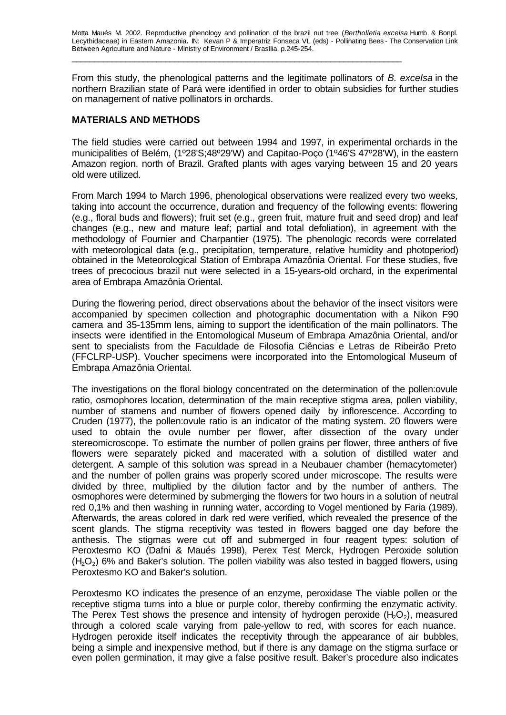\_\_\_\_\_\_\_\_\_\_\_\_\_\_\_\_\_\_\_\_\_\_\_\_\_\_\_\_\_\_\_\_\_\_\_\_\_\_\_\_\_\_\_\_\_\_\_\_\_\_\_\_\_\_\_\_\_\_\_\_\_\_\_\_\_\_\_\_\_\_\_\_\_\_

From this study, the phenological patterns and the legitimate pollinators of *B. excelsa* in the northern Brazilian state of Pará were identified in order to obtain subsidies for further studies on management of native pollinators in orchards.

## **MATERIALS AND METHODS**

The field studies were carried out between 1994 and 1997, in experimental orchards in the municipalities of Belém, (1º28'S;48º29'W) and Capitao-Poço (1º46'S 47º28'W), in the eastern Amazon region, north of Brazil. Grafted plants with ages varying between 15 and 20 years old were utilized.

From March 1994 to March 1996, phenological observations were realized every two weeks, taking into account the occurrence, duration and frequency of the following events: flowering (e.g., floral buds and flowers); fruit set (e.g., green fruit, mature fruit and seed drop) and leaf changes (e.g., new and mature leaf; partial and total defoliation), in agreement with the methodology of Fournier and Charpantier (1975). The phenologic records were correlated with meteorological data (e.g., precipitation, temperature, relative humidity and photoperiod) obtained in the Meteorological Station of Embrapa Amazônia Oriental. For these studies, five trees of precocious brazil nut were selected in a 15-years-old orchard, in the experimental area of Embrapa Amazônia Oriental.

During the flowering period, direct observations about the behavior of the insect visitors were accompanied by specimen collection and photographic documentation with a Nikon F90 camera and 35-135mm lens, aiming to support the identification of the main pollinators. The insects were identified in the Entomological Museum of Embrapa Amazônia Oriental, and/or sent to specialists from the Faculdade de Filosofia Ciências e Letras de Ribeirão Preto (FFCLRP-USP). Voucher specimens were incorporated into the Entomological Museum of Embrapa Amazônia Oriental.

The investigations on the floral biology concentrated on the determination of the pollen:ovule ratio, osmophores location, determination of the main receptive stigma area, pollen viability, number of stamens and number of flowers opened daily by inflorescence. According to Cruden (1977), the pollen:ovule ratio is an indicator of the mating system. 20 flowers were used to obtain the ovule number per flower, after dissection of the ovary under stereomicroscope. To estimate the number of pollen grains per flower, three anthers of five flowers were separately picked and macerated with a solution of distilled water and detergent. A sample of this solution was spread in a Neubauer chamber (hemacytometer) and the number of pollen grains was properly scored under microscope. The results were divided by three, multiplied by the dilution factor and by the number of anthers. The osmophores were determined by submerging the flowers for two hours in a solution of neutral red 0,1% and then washing in running water, according to Vogel mentioned by Faria (1989). Afterwards, the areas colored in dark red were verified, which revealed the presence of the scent glands. The stigma receptivity was tested in flowers bagged one day before the anthesis. The stigmas were cut off and submerged in four reagent types: solution of Peroxtesmo KO (Dafni & Maués 1998), Perex Test Merck, Hydrogen Peroxide solution  $(H<sub>2</sub>O<sub>2</sub>)$  6% and Baker's solution. The pollen viability was also tested in bagged flowers, using Peroxtesmo KO and Baker's solution.

Peroxtesmo KO indicates the presence of an enzyme, peroxidase The viable pollen or the receptive stigma turns into a blue or purple color, thereby confirming the enzymatic activity. The Perex Test shows the presence and intensity of hydrogen peroxide  $(H_2O_2)$ , measured through a colored scale varying from pale-yellow to red, with scores for each nuance. Hydrogen peroxide itself indicates the receptivity through the appearance of air bubbles, being a simple and inexpensive method, but if there is any damage on the stigma surface or even pollen germination, it may give a false positive result. Baker's procedure also indicates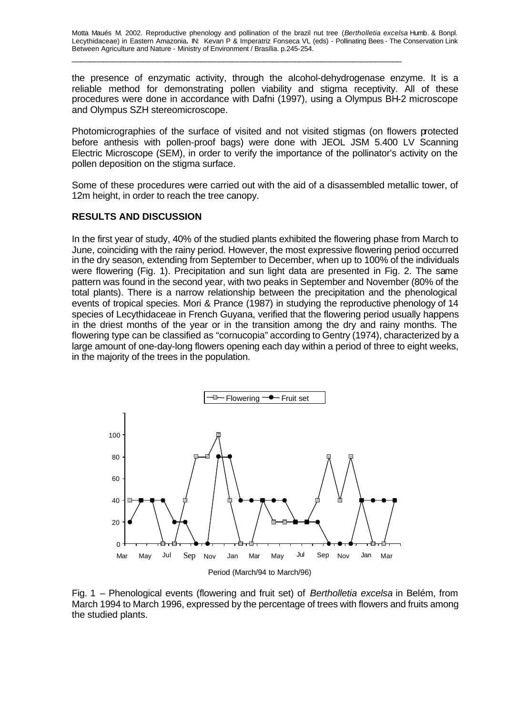the presence of enzymatic activity, through the alcohol-dehydrogenase enzyme. It is a reliable method for demonstrating pollen viability and stigma receptivity. All of these procedures were done in accordance with Dafni (1997), using a Olympus BH-2 microscope and Olympus SZH stereomicroscope.

Photomicrographies of the surface of visited and not visited stigmas (on flowers protected before anthesis with pollen-proof bags) were done with JEOL JSM 5.400 LV Scanning Electric Microscope (SEM), in order to verify the importance of the pollinator's activity on the pollen deposition on the stigma surface.

Some of these procedures were carried out with the aid of a disassembled metallic tower, of 12m height, in order to reach the tree canopy.

## **RESULTS AND DISCUSSION**

In the first year of study, 40% of the studied plants exhibited the flowering phase from March to June, coinciding with the rainy period. However, the most expressive flowering period occurred in the dry season, extending from September to December, when up to 100% of the individuals were flowering (Fig. 1). Precipitation and sun light data are presented in Fig. 2. The same pattern was found in the second year, with two peaks in September and November (80% of the total plants). There is a narrow relationship between the precipitation and the phenological events of tropical species. Mori & Prance (1987) in studying the reproductive phenology of 14 species of Lecythidaceae in French Guyana, verified that the flowering period usually happens in the driest months of the year or in the transition among the dry and rainy months. The flowering type can be classified as "cornucopia" according to Gentry (1974), characterized by a large amount of one-day-long flowers opening each day within a period of three to eight weeks, in the majority of the trees in the population.



Fig. 1 – Phenological events (flowering and fruit set) of *Bertholletia excelsa* in Belém, from March 1994 to March 1996, expressed by the percentage of trees with flowers and fruits among the studied plants.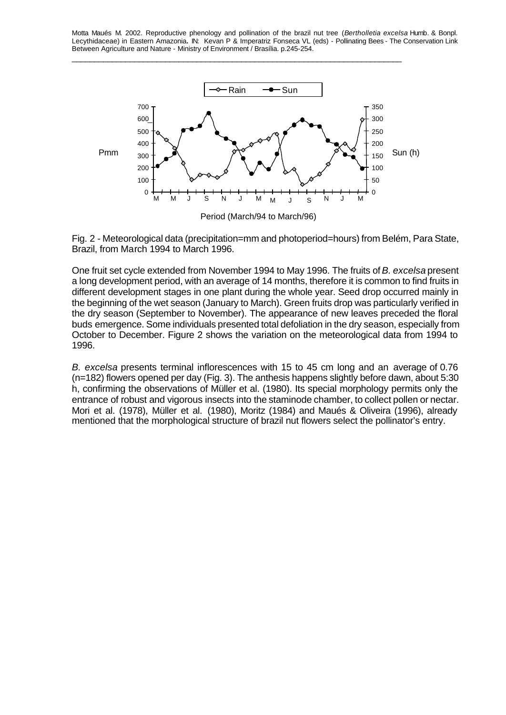\_\_\_\_\_\_\_\_\_\_\_\_\_\_\_\_\_\_\_\_\_\_\_\_\_\_\_\_\_\_\_\_\_\_\_\_\_\_\_\_\_\_\_\_\_\_\_\_\_\_\_\_\_\_\_\_\_\_\_\_\_\_\_\_\_\_\_\_\_\_\_\_\_\_





One fruit set cycle extended from November 1994 to May 1996. The fruits of *B. excelsa* present a long development period, with an average of 14 months, therefore it is common to find fruits in different development stages in one plant during the whole year. Seed drop occurred mainly in the beginning of the wet season (January to March). Green fruits drop was particularly verified in the dry season (September to November). The appearance of new leaves preceded the floral buds emergence. Some individuals presented total defoliation in the dry season, especially from October to December. Figure 2 shows the variation on the meteorological data from 1994 to 1996.

*B. excelsa* presents terminal inflorescences with 15 to 45 cm long and an average of 0.76 (n=182) flowers opened per day (Fig. 3). The anthesis happens slightly before dawn, about 5:30 h, confirming the observations of Müller et al. (1980). Its special morphology permits only the entrance of robust and vigorous insects into the staminode chamber, to collect pollen or nectar. Mori et al. (1978), Müller et al. (1980), Moritz (1984) and Maués & Oliveira (1996), already mentioned that the morphological structure of brazil nut flowers select the pollinator's entry.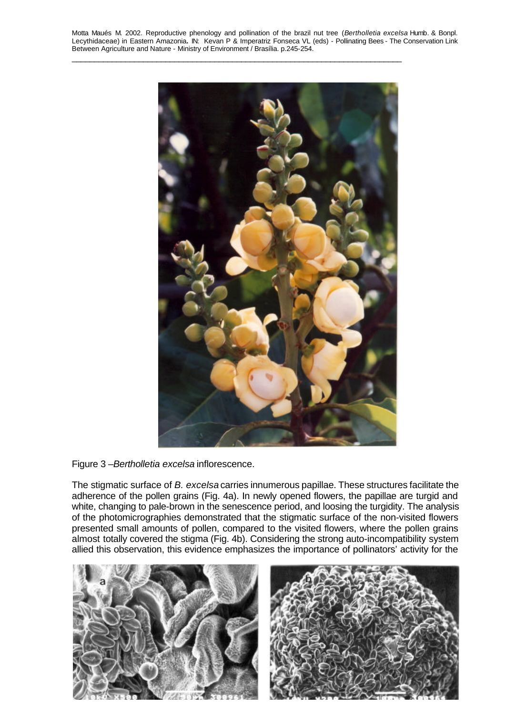\_\_\_\_\_\_\_\_\_\_\_\_\_\_\_\_\_\_\_\_\_\_\_\_\_\_\_\_\_\_\_\_\_\_\_\_\_\_\_\_\_\_\_\_\_\_\_\_\_\_\_\_\_\_\_\_\_\_\_\_\_\_\_\_\_\_\_\_\_\_\_\_\_\_



Figure 3 –*Bertholletia excelsa* inflorescence.

The stigmatic surface of *B. excelsa* carries innumerous papillae. These structures facilitate the adherence of the pollen grains (Fig. 4a). In newly opened flowers, the papillae are turgid and white, changing to pale-brown in the senescence period, and loosing the turgidity. The analysis of the photomicrographies demonstrated that the stigmatic surface of the non-visited flowers presented small amounts of pollen, compared to the visited flowers, where the pollen grains almost totally covered the stigma (Fig. 4b). Considering the strong auto-incompatibility system allied this observation, this evidence emphasizes the importance of pollinators' activity for the

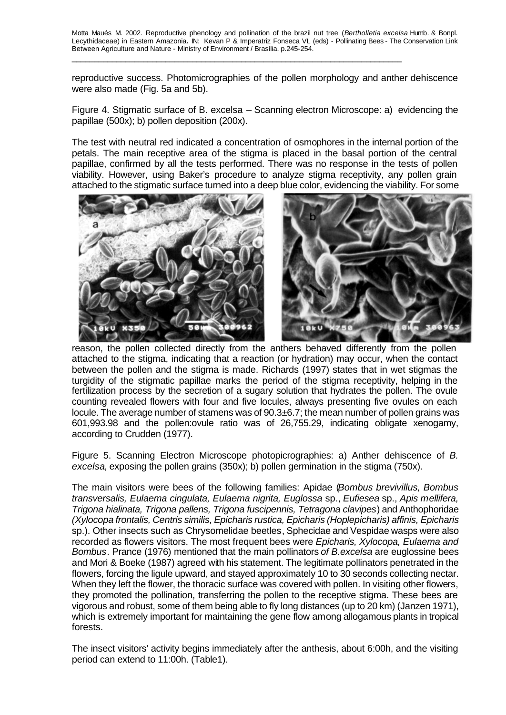\_\_\_\_\_\_\_\_\_\_\_\_\_\_\_\_\_\_\_\_\_\_\_\_\_\_\_\_\_\_\_\_\_\_\_\_\_\_\_\_\_\_\_\_\_\_\_\_\_\_\_\_\_\_\_\_\_\_\_\_\_\_\_\_\_\_\_\_\_\_\_\_\_\_

reproductive success. Photomicrographies of the pollen morphology and anther dehiscence were also made (Fig. 5a and 5b).

Figure 4. Stigmatic surface of B. excelsa – Scanning electron Microscope: a) evidencing the papillae (500x); b) pollen deposition (200x).

The test with neutral red indicated a concentration of osmophores in the internal portion of the petals. The main receptive area of the stigma is placed in the basal portion of the central papillae, confirmed by all the tests performed. There was no response in the tests of pollen viability. However, using Baker's procedure to analyze stigma receptivity, any pollen grain attached to the stigmatic surface turned into a deep blue color, evidencing the viability. For some



reason, the pollen collected directly from the anthers behaved differently from the pollen attached to the stigma, indicating that a reaction (or hydration) may occur, when the contact between the pollen and the stigma is made. Richards (1997) states that in wet stigmas the turgidity of the stigmatic papillae marks the period of the stigma receptivity, helping in the fertilization process by the secretion of a sugary solution that hydrates the pollen. The ovule counting revealed flowers with four and five locules, always presenting five ovules on each locule. The average number of stamens was of 90.3±6.7; the mean number of pollen grains was 601,993.98 and the pollen:ovule ratio was of 26,755.29, indicating obligate xenogamy, according to Crudden (1977).

Figure 5. Scanning Electron Microscope photopicrographies: a) Anther dehiscence of *B. excelsa*, exposing the pollen grains (350x); b) pollen germination in the stigma (750x).

The main visitors were bees of the following families: Apidae (*Bombus brevivillus, Bombus transversalis, Eulaema cingulata, Eulaema nigrita, Euglossa* sp., *Eufiesea* sp., *Apis mellifera, Trigona hialinata, Trigona pallens, Trigona fuscipennis, Tetragona clavipes*) and Anthophoridae *(Xylocopa frontalis, Centris similis, Epicharis rustica, Epicharis (Hoplepicharis) affinis, Epicharis*  sp.). Other insects such as Chrysomelidae beetles, Sphecidae and Vespidae wasps were also recorded as flowers visitors. The most frequent bees were *Epicharis, Xylocopa, Eulaema and Bombus*. Prance (1976) mentioned that the main pollinators *of B.excelsa* are euglossine bees and Mori & Boeke (1987) agreed with his statement. The legitimate pollinators penetrated in the flowers, forcing the ligule upward, and stayed approximately 10 to 30 seconds collecting nectar. When they left the flower, the thoracic surface was covered with pollen. In visiting other flowers, they promoted the pollination, transferring the pollen to the receptive stigma. These bees are vigorous and robust, some of them being able to fly long distances (up to 20 km) (Janzen 1971), which is extremely important for maintaining the gene flow among allogamous plants in tropical forests.

The insect visitors' activity begins immediately after the anthesis, about 6:00h, and the visiting period can extend to 11:00h. (Table1).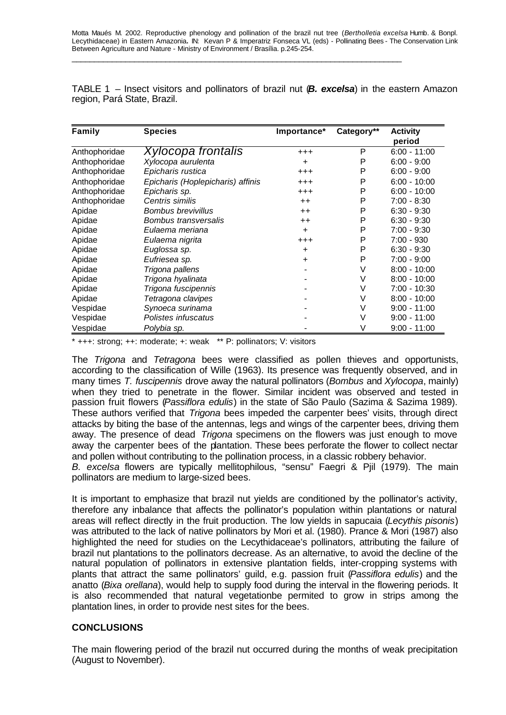| TABLE 1 – Insect visitors and pollinators of brazil nut $(B. excelsa)$ in the eastern Amazon |  |  |  |  |
|----------------------------------------------------------------------------------------------|--|--|--|--|
| region, Pará State, Brazil.                                                                  |  |  |  |  |

| Family        | <b>Species</b>                    | Importance* | Category** | <b>Activity</b> |
|---------------|-----------------------------------|-------------|------------|-----------------|
|               |                                   |             |            | period          |
| Anthophoridae | Xylocopa frontalis                | $^{+++}$    | P          | $6:00 - 11:00$  |
| Anthophoridae | Xylocopa aurulenta                | ÷.          | P          | $6:00 - 9:00$   |
| Anthophoridae | Epicharis rustica                 | $^{+++}$    | P          | $6:00 - 9:00$   |
| Anthophoridae | Epicharis (Hoplepicharis) affinis | $^{+++}$    | P          | $6:00 - 10:00$  |
| Anthophoridae | Epicharis sp.                     | $^{+++}$    | Ρ          | $6:00 - 10:00$  |
| Anthophoridae | Centris similis                   | $++$        | P          | $7:00 - 8:30$   |
| Apidae        | <b>Bombus brevivillus</b>         | $++$        | P          | $6:30 - 9:30$   |
| Apidae        | <b>Bombus transversalis</b>       | $++$        | Ρ          | $6:30 - 9:30$   |
| Apidae        | Eulaema meriana                   | $\ddot{}$   | P          | $7:00 - 9:30$   |
| Apidae        | Eulaema nigrita                   | $^{+++}$    | P          | $7:00 - 930$    |
| Apidae        | Euglossa sp.                      | ÷.          | P          | $6:30 - 9:30$   |
| Apidae        | Eufriesea sp.                     | ÷.          | P          | $7:00 - 9:00$   |
| Apidae        | Trigona pallens                   |             | V          | $8:00 - 10:00$  |
| Apidae        | Trigona hyalinata                 |             | V          | $8:00 - 10:00$  |
| Apidae        | Trigona fuscipennis               |             | V          | $7:00 - 10:30$  |
| Apidae        | Tetragona clavipes                |             | V          | $8:00 - 10:00$  |
| Vespidae      | Synoeca surinama                  |             | ٧          | $9:00 - 11:00$  |
| Vespidae      | Polistes infuscatus               |             | V          | $9:00 - 11:00$  |
| Vespidae      | Polybia sp.                       |             | ٧          | $9:00 - 11:00$  |

\* +++: strong; ++: moderate; +: weak \*\* P: pollinators; V: visitors

The *Trigona* and *Tetragona* bees were classified as pollen thieves and opportunists, according to the classification of Wille (1963). Its presence was frequently observed, and in many times *T. fuscipennis* drove away the natural pollinators (*Bombus* and *Xylocopa*, mainly) when they tried to penetrate in the flower. Similar incident was observed and tested in passion fruit flowers (*Passiflora edulis*) in the state of São Paulo (Sazima & Sazima 1989). These authors verified that *Trigona* bees impeded the carpenter bees' visits, through direct attacks by biting the base of the antennas, legs and wings of the carpenter bees, driving them away. The presence of dead *Trigona* specimens on the flowers was just enough to move away the carpenter bees of the plantation. These bees perforate the flower to collect nectar and pollen without contributing to the pollination process, in a classic robbery behavior.

*B. excelsa* flowers are typically mellitophilous, "sensu" Faegri & Pjil (1979). The main pollinators are medium to large-sized bees.

It is important to emphasize that brazil nut yields are conditioned by the pollinator's activity, therefore any inbalance that affects the pollinator's population within plantations or natural areas will reflect directly in the fruit production. The low yields in sapucaia (*Lecythis pisonis*) was attributed to the lack of native pollinators by Mori et al. (1980). Prance & Mori (1987) also highlighted the need for studies on the Lecythidaceae's pollinators, attributing the failure of brazil nut plantations to the pollinators decrease. As an alternative, to avoid the decline of the natural population of pollinators in extensive plantation fields, inter-cropping systems with plants that attract the same pollinators' guild, e.g. passion fruit (*Passiflora edulis*) and the anatto (*Bixa orellana*), would help to supply food during the interval in the flowering periods. It is also recommended that natural vegetationbe permited to grow in strips among the plantation lines, in order to provide nest sites for the bees.

# **CONCLUSIONS**

The main flowering period of the brazil nut occurred during the months of weak precipitation (August to November).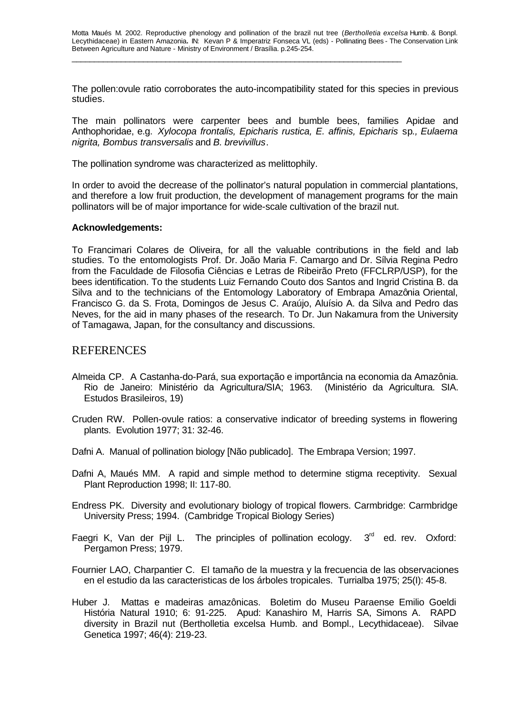The pollen:ovule ratio corroborates the auto-incompatibility stated for this species in previous studies.

The main pollinators were carpenter bees and bumble bees, families Apidae and Anthophoridae, e.g. *Xylocopa frontalis, Epicharis rustica, E. affinis, Epicharis* sp*., Eulaema nigrita, Bombus transversalis* and *B. brevivillus*.

The pollination syndrome was characterized as melittophily.

In order to avoid the decrease of the pollinator's natural population in commercial plantations, and therefore a low fruit production, the development of management programs for the main pollinators will be of major importance for wide-scale cultivation of the brazil nut.

#### **Acknowledgements:**

To Francimari Colares de Oliveira, for all the valuable contributions in the field and lab studies. To the entomologists Prof. Dr. João Maria F. Camargo and Dr. Sílvia Regina Pedro from the Faculdade de Filosofia Ciências e Letras de Ribeirão Preto (FFCLRP/USP), for the bees identification. To the students Luiz Fernando Couto dos Santos and Ingrid Cristina B. da Silva and to the technicians of the Entomology Laboratory of Embrapa Amazônia Oriental, Francisco G. da S. Frota, Domingos de Jesus C. Araújo, Aluísio A. da Silva and Pedro das Neves, for the aid in many phases of the research. To Dr. Jun Nakamura from the University of Tamagawa, Japan, for the consultancy and discussions.

## REFERENCES

- Almeida CP. A Castanha-do-Pará, sua exportação e importância na economia da Amazônia. Rio de Janeiro: Ministério da Agricultura/SIA; 1963. (Ministério da Agricultura. SIA. Estudos Brasileiros, 19)
- Cruden RW. Pollen-ovule ratios: a conservative indicator of breeding systems in flowering plants. Evolution 1977; 31: 32-46.
- Dafni A. Manual of pollination biology [Não publicado]. The Embrapa Version; 1997.
- Dafni A, Maués MM. A rapid and simple method to determine stigma receptivity. Sexual Plant Reproduction 1998; II: 117-80.
- Endress PK. Diversity and evolutionary biology of tropical flowers. Carmbridge: Carmbridge University Press; 1994. (Cambridge Tropical Biology Series)
- Faegri K, Van der Pijl L. The principles of pollination ecology.  $3<sup>rd</sup>$  ed. rev. Oxford: Pergamon Press; 1979.
- Fournier LAO, Charpantier C. El tamaño de la muestra y la frecuencia de las observaciones en el estudio da las caracteristicas de los árboles tropicales. Turrialba 1975; 25(I): 45-8.
- Huber J. Mattas e madeiras amazônicas. Boletim do Museu Paraense Emilio Goeldi História Natural 1910; 6: 91-225. Apud: Kanashiro M, Harris SA, Simons A. RAPD diversity in Brazil nut (Bertholletia excelsa Humb. and Bompl., Lecythidaceae). Silvae Genetica 1997; 46(4): 219-23.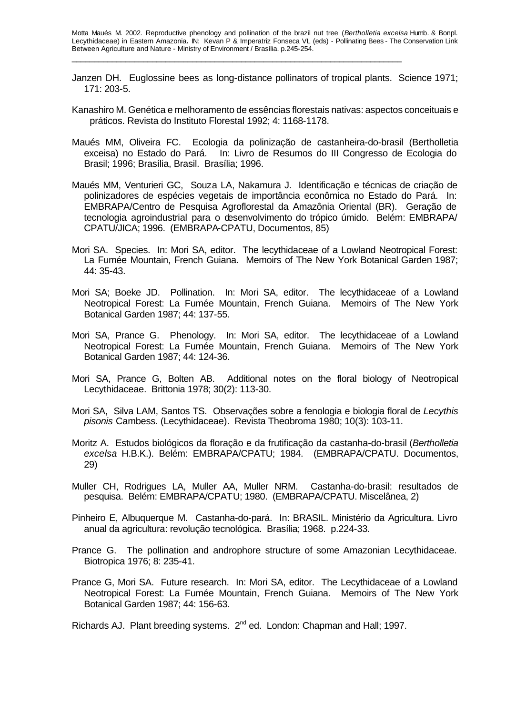- Janzen DH. Euglossine bees as long-distance pollinators of tropical plants. Science 1971; 171: 203-5.
- Kanashiro M. Genética e melhoramento de essências florestais nativas: aspectos conceituais e práticos. Revista do Instituto Florestal 1992; 4: 1168-1178.
- Maués MM, Oliveira FC. Ecologia da polinização de castanheira-do-brasil (Bertholletia exceisa) no Estado do Pará. In: Livro de Resumos do III Congresso de Ecologia do Brasil; 1996; Brasília, Brasil. Brasília; 1996.
- Maués MM, Venturieri GC, Souza LA, Nakamura J. Identificação e técnicas de criação de polinizadores de espécies vegetais de importância econômica no Estado do Pará. In: EMBRAPA/Centro de Pesquisa Agroflorestal da Amazônia Oriental (BR). Geração de tecnologia agroindustrial para o desenvolvimento do trópico úmido. Belém: EMBRAPA/ CPATU/JICA; 1996. (EMBRAPA-CPATU, Documentos, 85)
- Mori SA. Species. In: Mori SA, editor. The lecythidaceae of a Lowland Neotropical Forest: La Fumée Mountain, French Guiana. Memoirs of The New York Botanical Garden 1987; 44: 35-43.
- Mori SA; Boeke JD. Pollination. In: Mori SA, editor. The lecythidaceae of a Lowland Neotropical Forest: La Fumée Mountain, French Guiana. Memoirs of The New York Botanical Garden 1987; 44: 137-55.
- Mori SA, Prance G. Phenology. In: Mori SA, editor. The lecythidaceae of a Lowland Neotropical Forest: La Fumée Mountain, French Guiana. Memoirs of The New York Botanical Garden 1987; 44: 124-36.
- Mori SA, Prance G, Bolten AB. Additional notes on the floral biology of Neotropical Lecythidaceae. Brittonia 1978; 30(2): 113-30.
- Mori SA, Silva LAM, Santos TS. Observações sobre a fenologia e biologia floral de *Lecythis pisonis* Cambess. (Lecythidaceae). Revista Theobroma 1980; 10(3): 103-11.
- Moritz A. Estudos biológicos da floração e da frutificação da castanha-do-brasil (*Bertholletia excelsa* H.B.K.). Belém: EMBRAPA/CPATU; 1984. (EMBRAPA/CPATU. Documentos, 29)
- Muller CH, Rodrigues LA, Muller AA, Muller NRM. Castanha-do-brasil: resultados de pesquisa. Belém: EMBRAPA/CPATU; 1980. (EMBRAPA/CPATU. Miscelânea, 2)
- Pinheiro E, Albuquerque M. Castanha-do-pará. In: BRASIL. Ministério da Agricultura. Livro anual da agricultura: revolução tecnológica. Brasília; 1968. p.224-33.
- Prance G. The pollination and androphore structure of some Amazonian Lecythidaceae. Biotropica 1976; 8: 235-41.
- Prance G, Mori SA. Future research. In: Mori SA, editor. The Lecythidaceae of a Lowland Neotropical Forest: La Fumée Mountain, French Guiana. Memoirs of The New York Botanical Garden 1987; 44: 156-63.

Richards AJ. Plant breeding systems. 2<sup>nd</sup> ed. London: Chapman and Hall; 1997.